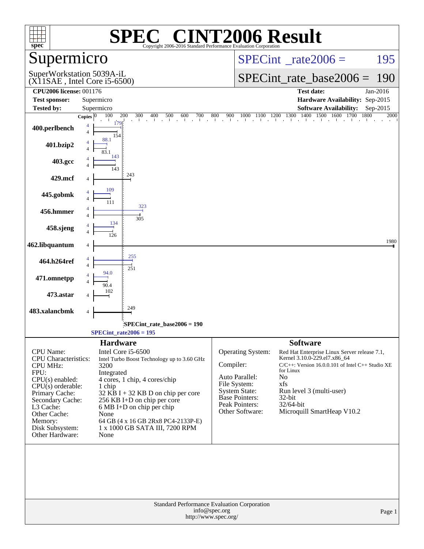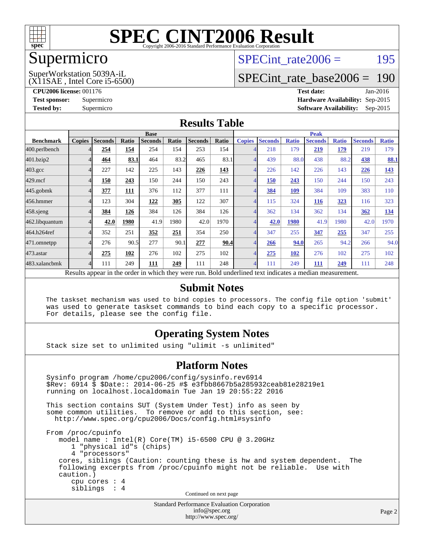

### Supermicro

(X11SAE , Intel Core i5-6500) SuperWorkstation 5039A-iL

SPECint rate $2006 = 195$ 

### [SPECint\\_rate\\_base2006 =](http://www.spec.org/auto/cpu2006/Docs/result-fields.html#SPECintratebase2006) 190

**[CPU2006 license:](http://www.spec.org/auto/cpu2006/Docs/result-fields.html#CPU2006license)** 001176 **[Test date:](http://www.spec.org/auto/cpu2006/Docs/result-fields.html#Testdate)** Jan-2016

**[Test sponsor:](http://www.spec.org/auto/cpu2006/Docs/result-fields.html#Testsponsor)** Supermicro **[Hardware Availability:](http://www.spec.org/auto/cpu2006/Docs/result-fields.html#HardwareAvailability)** Sep-2015 **[Tested by:](http://www.spec.org/auto/cpu2006/Docs/result-fields.html#Testedby)** Supermicro **Supermicro [Software Availability:](http://www.spec.org/auto/cpu2006/Docs/result-fields.html#SoftwareAvailability)** Sep-2015

### **[Results Table](http://www.spec.org/auto/cpu2006/Docs/result-fields.html#ResultsTable)**

|                                                                                                          | <b>Base</b>   |                |       |                |       | <b>Peak</b>    |       |               |                |              |                |              |                |              |
|----------------------------------------------------------------------------------------------------------|---------------|----------------|-------|----------------|-------|----------------|-------|---------------|----------------|--------------|----------------|--------------|----------------|--------------|
| <b>Benchmark</b>                                                                                         | <b>Copies</b> | <b>Seconds</b> | Ratio | <b>Seconds</b> | Ratio | <b>Seconds</b> | Ratio | <b>Copies</b> | <b>Seconds</b> | <b>Ratio</b> | <b>Seconds</b> | <b>Ratio</b> | <b>Seconds</b> | <b>Ratio</b> |
| 400.perlbench                                                                                            |               | 254            | 154   | 254            | 154   | 253            | 154   |               | 218            | 179          | 219            | 179          | 219            | 179          |
| 401.bzip2                                                                                                |               | 464            | 83.1  | 464            | 83.2  | 465            | 83.1  |               | 439            | 88.0         | 438            | 88.2         | <u>438</u>     | <b>88.1</b>  |
| $403.\mathrm{gcc}$                                                                                       |               | 227            | 142   | 225            | 143   | 226            | 143   |               | 226            | 142          | 226            | 143          | 226            | 143          |
| $429$ .mcf                                                                                               |               | 150            | 243   | 150            | 244   | 150            | 243   |               | 150            | 243          | 150            | 244          | 150            | 243          |
| $445$ .gobm $k$                                                                                          |               | 377            | 111   | 376            | 112   | 377            | 111   |               | 384            | 109          | 384            | 109          | 383            | 110          |
| 456.hmmer                                                                                                |               | 123            | 304   | 122            | 305   | 122            | 307   |               | 115            | 324          | 116            | 323          | 116            | 323          |
| $458$ .sjeng                                                                                             |               | 384            | 126   | 384            | 126   | 384            | 126   |               | 362            | 134          | 362            | 134          | 362            | 134          |
| 462.libquantum                                                                                           |               | 42.0           | 1980  | 41.9           | 1980  | 42.0           | 1970  |               | 42.0           | 1980         | 41.9           | 1980         | 42.0           | 1970         |
| 464.h264ref                                                                                              |               | 352            | 251   | 352            | 251   | 354            | 250   |               | 347            | 255          | 347            | 255          | 347            | 255          |
| 471.omnetpp                                                                                              |               | 276            | 90.5  | 277            | 90.1  | 277            | 90.4  |               | 266            | 94.0         | 265            | 94.2         | 266            | 94.0         |
| 473.astar                                                                                                |               | 275            | 102   | 276            | 102   | 275            | 102   |               | 275            | 102          | 276            | 102          | 275            | 102          |
| 483.xalancbmk                                                                                            | 4             | 111            | 249   | 111            | 249   | 111            | 248   | 4             | 111            | 249          | 111            | 249          | 111            | 248          |
| Results appear in the order in which they were run. Bold underlined text indicates a median measurement. |               |                |       |                |       |                |       |               |                |              |                |              |                |              |

#### **[Submit Notes](http://www.spec.org/auto/cpu2006/Docs/result-fields.html#SubmitNotes)**

 The taskset mechanism was used to bind copies to processors. The config file option 'submit' was used to generate taskset commands to bind each copy to a specific processor. For details, please see the config file.

### **[Operating System Notes](http://www.spec.org/auto/cpu2006/Docs/result-fields.html#OperatingSystemNotes)**

Stack size set to unlimited using "ulimit -s unlimited"

#### **[Platform Notes](http://www.spec.org/auto/cpu2006/Docs/result-fields.html#PlatformNotes)**

 Sysinfo program /home/cpu2006/config/sysinfo.rev6914 \$Rev: 6914 \$ \$Date:: 2014-06-25 #\$ e3fbb8667b5a285932ceab81e28219e1 running on localhost.localdomain Tue Jan 19 20:55:22 2016 This section contains SUT (System Under Test) info as seen by some common utilities. To remove or add to this section, see: <http://www.spec.org/cpu2006/Docs/config.html#sysinfo> From /proc/cpuinfo model name : Intel(R) Core(TM) i5-6500 CPU @ 3.20GHz 1 "physical id"s (chips) 4 "processors" cores, siblings (Caution: counting these is hw and system dependent. The following excerpts from /proc/cpuinfo might not be reliable. Use with caution.) cpu cores : 4 siblings : 4 Continued on next page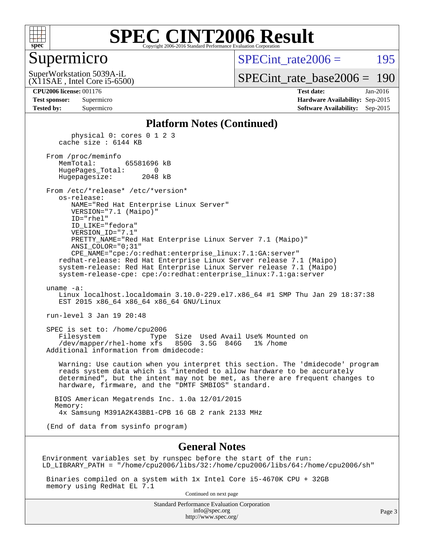

### Supermicro

SPECint rate $2006 = 195$ 

(X11SAE , Intel Core i5-6500) SuperWorkstation 5039A-iL

[SPECint\\_rate\\_base2006 =](http://www.spec.org/auto/cpu2006/Docs/result-fields.html#SPECintratebase2006) 190

**[CPU2006 license:](http://www.spec.org/auto/cpu2006/Docs/result-fields.html#CPU2006license)** 001176 **[Test date:](http://www.spec.org/auto/cpu2006/Docs/result-fields.html#Testdate)** Jan-2016

| <b>Test sponsor:</b> | Supermicro |
|----------------------|------------|
| <b>Tested by:</b>    | Supermicro |

**[Hardware Availability:](http://www.spec.org/auto/cpu2006/Docs/result-fields.html#HardwareAvailability)** Sep-2015 **[Software Availability:](http://www.spec.org/auto/cpu2006/Docs/result-fields.html#SoftwareAvailability)** Sep-2015

#### **[Platform Notes \(Continued\)](http://www.spec.org/auto/cpu2006/Docs/result-fields.html#PlatformNotes)**

 physical 0: cores 0 1 2 3 cache size : 6144 KB From /proc/meminfo MemTotal: 65581696 kB HugePages\_Total: 0 Hugepagesize: 2048 kB From /etc/\*release\* /etc/\*version\* os-release: NAME="Red Hat Enterprise Linux Server" VERSION="7.1 (Maipo)" ID="rhel" ID\_LIKE="fedora" VERSION\_ID="7.1" PRETTY\_NAME="Red Hat Enterprise Linux Server 7.1 (Maipo)" ANSI\_COLOR="0;31" CPE\_NAME="cpe:/o:redhat:enterprise\_linux:7.1:GA:server" redhat-release: Red Hat Enterprise Linux Server release 7.1 (Maipo) system-release: Red Hat Enterprise Linux Server release 7.1 (Maipo) system-release-cpe: cpe:/o:redhat:enterprise\_linux:7.1:ga:server uname -a: Linux localhost.localdomain 3.10.0-229.el7.x86\_64 #1 SMP Thu Jan 29 18:37:38 EST 2015 x86 64 x86 64 x86 64 GNU/Linux run-level 3 Jan 19 20:48 SPEC is set to: /home/cpu2006

 Filesystem Type Size Used Avail Use% Mounted on /dev/mapper/rhel-home xfs 850G 3.5G 846G 1% /home Additional information from dmidecode:

 Warning: Use caution when you interpret this section. The 'dmidecode' program reads system data which is "intended to allow hardware to be accurately determined", but the intent may not be met, as there are frequent changes to hardware, firmware, and the "DMTF SMBIOS" standard.

 BIOS American Megatrends Inc. 1.0a 12/01/2015 Memory: 4x Samsung M391A2K43BB1-CPB 16 GB 2 rank 2133 MHz

(End of data from sysinfo program)

#### **[General Notes](http://www.spec.org/auto/cpu2006/Docs/result-fields.html#GeneralNotes)**

Environment variables set by runspec before the start of the run: LD\_LIBRARY\_PATH = "/home/cpu2006/libs/32:/home/cpu2006/libs/64:/home/cpu2006/sh"

 Binaries compiled on a system with 1x Intel Core i5-4670K CPU + 32GB memory using RedHat EL 7.1

Continued on next page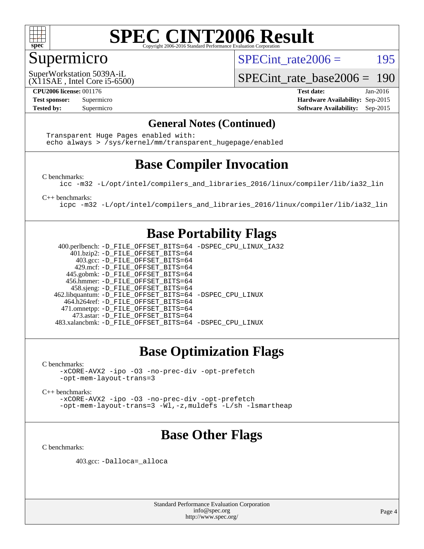

## Supermicro

SPECint rate $2006 = 195$ 

(X11SAE , Intel Core i5-6500) SuperWorkstation 5039A-iL

[SPECint\\_rate\\_base2006 =](http://www.spec.org/auto/cpu2006/Docs/result-fields.html#SPECintratebase2006) 190

**[CPU2006 license:](http://www.spec.org/auto/cpu2006/Docs/result-fields.html#CPU2006license)** 001176 **[Test date:](http://www.spec.org/auto/cpu2006/Docs/result-fields.html#Testdate)** Jan-2016 **[Test sponsor:](http://www.spec.org/auto/cpu2006/Docs/result-fields.html#Testsponsor)** Supermicro **[Hardware Availability:](http://www.spec.org/auto/cpu2006/Docs/result-fields.html#HardwareAvailability)** Sep-2015 **[Tested by:](http://www.spec.org/auto/cpu2006/Docs/result-fields.html#Testedby)** Supermicro **Supermicro [Software Availability:](http://www.spec.org/auto/cpu2006/Docs/result-fields.html#SoftwareAvailability)** Sep-2015

### **[General Notes \(Continued\)](http://www.spec.org/auto/cpu2006/Docs/result-fields.html#GeneralNotes)**

 Transparent Huge Pages enabled with: echo always > /sys/kernel/mm/transparent\_hugepage/enabled

### **[Base Compiler Invocation](http://www.spec.org/auto/cpu2006/Docs/result-fields.html#BaseCompilerInvocation)**

[C benchmarks](http://www.spec.org/auto/cpu2006/Docs/result-fields.html#Cbenchmarks):

[icc -m32 -L/opt/intel/compilers\\_and\\_libraries\\_2016/linux/compiler/lib/ia32\\_lin](http://www.spec.org/cpu2006/results/res2016q1/cpu2006-20160125-38791.flags.html#user_CCbase_intel_icc_e10256ba5924b668798078a321b0cb3f)

[C++ benchmarks:](http://www.spec.org/auto/cpu2006/Docs/result-fields.html#CXXbenchmarks)

[icpc -m32 -L/opt/intel/compilers\\_and\\_libraries\\_2016/linux/compiler/lib/ia32\\_lin](http://www.spec.org/cpu2006/results/res2016q1/cpu2006-20160125-38791.flags.html#user_CXXbase_intel_icpc_b4f50a394bdb4597aa5879c16bc3f5c5)

### **[Base Portability Flags](http://www.spec.org/auto/cpu2006/Docs/result-fields.html#BasePortabilityFlags)**

 400.perlbench: [-D\\_FILE\\_OFFSET\\_BITS=64](http://www.spec.org/cpu2006/results/res2016q1/cpu2006-20160125-38791.flags.html#user_basePORTABILITY400_perlbench_file_offset_bits_64_438cf9856305ebd76870a2c6dc2689ab) [-DSPEC\\_CPU\\_LINUX\\_IA32](http://www.spec.org/cpu2006/results/res2016q1/cpu2006-20160125-38791.flags.html#b400.perlbench_baseCPORTABILITY_DSPEC_CPU_LINUX_IA32) 401.bzip2: [-D\\_FILE\\_OFFSET\\_BITS=64](http://www.spec.org/cpu2006/results/res2016q1/cpu2006-20160125-38791.flags.html#user_basePORTABILITY401_bzip2_file_offset_bits_64_438cf9856305ebd76870a2c6dc2689ab) 403.gcc: [-D\\_FILE\\_OFFSET\\_BITS=64](http://www.spec.org/cpu2006/results/res2016q1/cpu2006-20160125-38791.flags.html#user_basePORTABILITY403_gcc_file_offset_bits_64_438cf9856305ebd76870a2c6dc2689ab) 429.mcf: [-D\\_FILE\\_OFFSET\\_BITS=64](http://www.spec.org/cpu2006/results/res2016q1/cpu2006-20160125-38791.flags.html#user_basePORTABILITY429_mcf_file_offset_bits_64_438cf9856305ebd76870a2c6dc2689ab) 445.gobmk: [-D\\_FILE\\_OFFSET\\_BITS=64](http://www.spec.org/cpu2006/results/res2016q1/cpu2006-20160125-38791.flags.html#user_basePORTABILITY445_gobmk_file_offset_bits_64_438cf9856305ebd76870a2c6dc2689ab) 456.hmmer: [-D\\_FILE\\_OFFSET\\_BITS=64](http://www.spec.org/cpu2006/results/res2016q1/cpu2006-20160125-38791.flags.html#user_basePORTABILITY456_hmmer_file_offset_bits_64_438cf9856305ebd76870a2c6dc2689ab) 458.sjeng: [-D\\_FILE\\_OFFSET\\_BITS=64](http://www.spec.org/cpu2006/results/res2016q1/cpu2006-20160125-38791.flags.html#user_basePORTABILITY458_sjeng_file_offset_bits_64_438cf9856305ebd76870a2c6dc2689ab) 462.libquantum: [-D\\_FILE\\_OFFSET\\_BITS=64](http://www.spec.org/cpu2006/results/res2016q1/cpu2006-20160125-38791.flags.html#user_basePORTABILITY462_libquantum_file_offset_bits_64_438cf9856305ebd76870a2c6dc2689ab) [-DSPEC\\_CPU\\_LINUX](http://www.spec.org/cpu2006/results/res2016q1/cpu2006-20160125-38791.flags.html#b462.libquantum_baseCPORTABILITY_DSPEC_CPU_LINUX) 464.h264ref: [-D\\_FILE\\_OFFSET\\_BITS=64](http://www.spec.org/cpu2006/results/res2016q1/cpu2006-20160125-38791.flags.html#user_basePORTABILITY464_h264ref_file_offset_bits_64_438cf9856305ebd76870a2c6dc2689ab) 471.omnetpp: [-D\\_FILE\\_OFFSET\\_BITS=64](http://www.spec.org/cpu2006/results/res2016q1/cpu2006-20160125-38791.flags.html#user_basePORTABILITY471_omnetpp_file_offset_bits_64_438cf9856305ebd76870a2c6dc2689ab) 473.astar: [-D\\_FILE\\_OFFSET\\_BITS=64](http://www.spec.org/cpu2006/results/res2016q1/cpu2006-20160125-38791.flags.html#user_basePORTABILITY473_astar_file_offset_bits_64_438cf9856305ebd76870a2c6dc2689ab) 483.xalancbmk: [-D\\_FILE\\_OFFSET\\_BITS=64](http://www.spec.org/cpu2006/results/res2016q1/cpu2006-20160125-38791.flags.html#user_basePORTABILITY483_xalancbmk_file_offset_bits_64_438cf9856305ebd76870a2c6dc2689ab) [-DSPEC\\_CPU\\_LINUX](http://www.spec.org/cpu2006/results/res2016q1/cpu2006-20160125-38791.flags.html#b483.xalancbmk_baseCXXPORTABILITY_DSPEC_CPU_LINUX)

## **[Base Optimization Flags](http://www.spec.org/auto/cpu2006/Docs/result-fields.html#BaseOptimizationFlags)**

[C benchmarks](http://www.spec.org/auto/cpu2006/Docs/result-fields.html#Cbenchmarks):

[-xCORE-AVX2](http://www.spec.org/cpu2006/results/res2016q1/cpu2006-20160125-38791.flags.html#user_CCbase_f-xAVX2_5f5fc0cbe2c9f62c816d3e45806c70d7) [-ipo](http://www.spec.org/cpu2006/results/res2016q1/cpu2006-20160125-38791.flags.html#user_CCbase_f-ipo) [-O3](http://www.spec.org/cpu2006/results/res2016q1/cpu2006-20160125-38791.flags.html#user_CCbase_f-O3) [-no-prec-div](http://www.spec.org/cpu2006/results/res2016q1/cpu2006-20160125-38791.flags.html#user_CCbase_f-no-prec-div) [-opt-prefetch](http://www.spec.org/cpu2006/results/res2016q1/cpu2006-20160125-38791.flags.html#user_CCbase_f-opt-prefetch) [-opt-mem-layout-trans=3](http://www.spec.org/cpu2006/results/res2016q1/cpu2006-20160125-38791.flags.html#user_CCbase_f-opt-mem-layout-trans_a7b82ad4bd7abf52556d4961a2ae94d5)

[C++ benchmarks:](http://www.spec.org/auto/cpu2006/Docs/result-fields.html#CXXbenchmarks)

[-xCORE-AVX2](http://www.spec.org/cpu2006/results/res2016q1/cpu2006-20160125-38791.flags.html#user_CXXbase_f-xAVX2_5f5fc0cbe2c9f62c816d3e45806c70d7) [-ipo](http://www.spec.org/cpu2006/results/res2016q1/cpu2006-20160125-38791.flags.html#user_CXXbase_f-ipo) [-O3](http://www.spec.org/cpu2006/results/res2016q1/cpu2006-20160125-38791.flags.html#user_CXXbase_f-O3) [-no-prec-div](http://www.spec.org/cpu2006/results/res2016q1/cpu2006-20160125-38791.flags.html#user_CXXbase_f-no-prec-div) [-opt-prefetch](http://www.spec.org/cpu2006/results/res2016q1/cpu2006-20160125-38791.flags.html#user_CXXbase_f-opt-prefetch) [-opt-mem-layout-trans=3](http://www.spec.org/cpu2006/results/res2016q1/cpu2006-20160125-38791.flags.html#user_CXXbase_f-opt-mem-layout-trans_a7b82ad4bd7abf52556d4961a2ae94d5) [-Wl,-z,muldefs](http://www.spec.org/cpu2006/results/res2016q1/cpu2006-20160125-38791.flags.html#user_CXXbase_link_force_multiple1_74079c344b956b9658436fd1b6dd3a8a) [-L/sh -lsmartheap](http://www.spec.org/cpu2006/results/res2016q1/cpu2006-20160125-38791.flags.html#user_CXXbase_SmartHeap_32f6c82aa1ed9c52345d30cf6e4a0499)

## **[Base Other Flags](http://www.spec.org/auto/cpu2006/Docs/result-fields.html#BaseOtherFlags)**

[C benchmarks](http://www.spec.org/auto/cpu2006/Docs/result-fields.html#Cbenchmarks):

403.gcc: [-Dalloca=\\_alloca](http://www.spec.org/cpu2006/results/res2016q1/cpu2006-20160125-38791.flags.html#b403.gcc_baseEXTRA_CFLAGS_Dalloca_be3056838c12de2578596ca5467af7f3)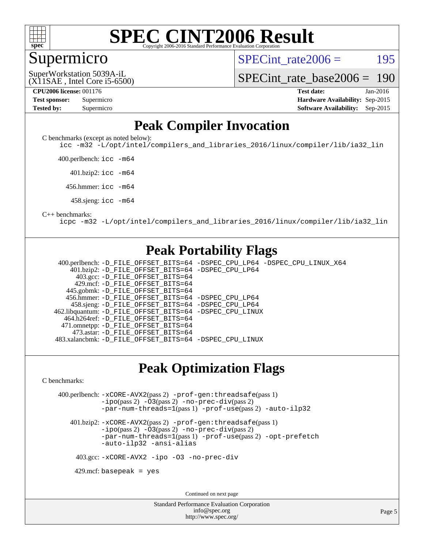

### Supermicro

SPECint rate $2006 = 195$ 

(X11SAE , Intel Core i5-6500) SuperWorkstation 5039A-iL

[SPECint\\_rate\\_base2006 =](http://www.spec.org/auto/cpu2006/Docs/result-fields.html#SPECintratebase2006) 190

| <b>Test sponsor:</b> | Supermicro |
|----------------------|------------|
| <b>Tested by:</b>    | Supermicro |

**[CPU2006 license:](http://www.spec.org/auto/cpu2006/Docs/result-fields.html#CPU2006license)** 001176 **[Test date:](http://www.spec.org/auto/cpu2006/Docs/result-fields.html#Testdate)** Jan-2016 **[Hardware Availability:](http://www.spec.org/auto/cpu2006/Docs/result-fields.html#HardwareAvailability)** Sep-2015 **[Software Availability:](http://www.spec.org/auto/cpu2006/Docs/result-fields.html#SoftwareAvailability)** Sep-2015

### **[Peak Compiler Invocation](http://www.spec.org/auto/cpu2006/Docs/result-fields.html#PeakCompilerInvocation)**

[C benchmarks \(except as noted below\)](http://www.spec.org/auto/cpu2006/Docs/result-fields.html#Cbenchmarksexceptasnotedbelow):

[icc -m32 -L/opt/intel/compilers\\_and\\_libraries\\_2016/linux/compiler/lib/ia32\\_lin](http://www.spec.org/cpu2006/results/res2016q1/cpu2006-20160125-38791.flags.html#user_CCpeak_intel_icc_e10256ba5924b668798078a321b0cb3f)

400.perlbench: [icc -m64](http://www.spec.org/cpu2006/results/res2016q1/cpu2006-20160125-38791.flags.html#user_peakCCLD400_perlbench_intel_icc_64bit_bda6cc9af1fdbb0edc3795bac97ada53)

401.bzip2: [icc -m64](http://www.spec.org/cpu2006/results/res2016q1/cpu2006-20160125-38791.flags.html#user_peakCCLD401_bzip2_intel_icc_64bit_bda6cc9af1fdbb0edc3795bac97ada53)

456.hmmer: [icc -m64](http://www.spec.org/cpu2006/results/res2016q1/cpu2006-20160125-38791.flags.html#user_peakCCLD456_hmmer_intel_icc_64bit_bda6cc9af1fdbb0edc3795bac97ada53)

458.sjeng: [icc -m64](http://www.spec.org/cpu2006/results/res2016q1/cpu2006-20160125-38791.flags.html#user_peakCCLD458_sjeng_intel_icc_64bit_bda6cc9af1fdbb0edc3795bac97ada53)

#### [C++ benchmarks:](http://www.spec.org/auto/cpu2006/Docs/result-fields.html#CXXbenchmarks)

[icpc -m32 -L/opt/intel/compilers\\_and\\_libraries\\_2016/linux/compiler/lib/ia32\\_lin](http://www.spec.org/cpu2006/results/res2016q1/cpu2006-20160125-38791.flags.html#user_CXXpeak_intel_icpc_b4f50a394bdb4597aa5879c16bc3f5c5)

### **[Peak Portability Flags](http://www.spec.org/auto/cpu2006/Docs/result-fields.html#PeakPortabilityFlags)**

 400.perlbench: [-D\\_FILE\\_OFFSET\\_BITS=64](http://www.spec.org/cpu2006/results/res2016q1/cpu2006-20160125-38791.flags.html#user_peakPORTABILITY400_perlbench_file_offset_bits_64_438cf9856305ebd76870a2c6dc2689ab) [-DSPEC\\_CPU\\_LP64](http://www.spec.org/cpu2006/results/res2016q1/cpu2006-20160125-38791.flags.html#b400.perlbench_peakCPORTABILITY_DSPEC_CPU_LP64) [-DSPEC\\_CPU\\_LINUX\\_X64](http://www.spec.org/cpu2006/results/res2016q1/cpu2006-20160125-38791.flags.html#b400.perlbench_peakCPORTABILITY_DSPEC_CPU_LINUX_X64) 401.bzip2: [-D\\_FILE\\_OFFSET\\_BITS=64](http://www.spec.org/cpu2006/results/res2016q1/cpu2006-20160125-38791.flags.html#user_peakPORTABILITY401_bzip2_file_offset_bits_64_438cf9856305ebd76870a2c6dc2689ab) [-DSPEC\\_CPU\\_LP64](http://www.spec.org/cpu2006/results/res2016q1/cpu2006-20160125-38791.flags.html#suite_peakCPORTABILITY401_bzip2_DSPEC_CPU_LP64) 403.gcc: [-D\\_FILE\\_OFFSET\\_BITS=64](http://www.spec.org/cpu2006/results/res2016q1/cpu2006-20160125-38791.flags.html#user_peakPORTABILITY403_gcc_file_offset_bits_64_438cf9856305ebd76870a2c6dc2689ab) 429.mcf: [-D\\_FILE\\_OFFSET\\_BITS=64](http://www.spec.org/cpu2006/results/res2016q1/cpu2006-20160125-38791.flags.html#user_peakPORTABILITY429_mcf_file_offset_bits_64_438cf9856305ebd76870a2c6dc2689ab) 445.gobmk: [-D\\_FILE\\_OFFSET\\_BITS=64](http://www.spec.org/cpu2006/results/res2016q1/cpu2006-20160125-38791.flags.html#user_peakPORTABILITY445_gobmk_file_offset_bits_64_438cf9856305ebd76870a2c6dc2689ab) 456.hmmer: [-D\\_FILE\\_OFFSET\\_BITS=64](http://www.spec.org/cpu2006/results/res2016q1/cpu2006-20160125-38791.flags.html#user_peakPORTABILITY456_hmmer_file_offset_bits_64_438cf9856305ebd76870a2c6dc2689ab) [-DSPEC\\_CPU\\_LP64](http://www.spec.org/cpu2006/results/res2016q1/cpu2006-20160125-38791.flags.html#suite_peakCPORTABILITY456_hmmer_DSPEC_CPU_LP64) 458.sjeng: [-D\\_FILE\\_OFFSET\\_BITS=64](http://www.spec.org/cpu2006/results/res2016q1/cpu2006-20160125-38791.flags.html#user_peakPORTABILITY458_sjeng_file_offset_bits_64_438cf9856305ebd76870a2c6dc2689ab) [-DSPEC\\_CPU\\_LP64](http://www.spec.org/cpu2006/results/res2016q1/cpu2006-20160125-38791.flags.html#suite_peakCPORTABILITY458_sjeng_DSPEC_CPU_LP64) 462.libquantum: [-D\\_FILE\\_OFFSET\\_BITS=64](http://www.spec.org/cpu2006/results/res2016q1/cpu2006-20160125-38791.flags.html#user_peakPORTABILITY462_libquantum_file_offset_bits_64_438cf9856305ebd76870a2c6dc2689ab) [-DSPEC\\_CPU\\_LINUX](http://www.spec.org/cpu2006/results/res2016q1/cpu2006-20160125-38791.flags.html#b462.libquantum_peakCPORTABILITY_DSPEC_CPU_LINUX) 464.h264ref: [-D\\_FILE\\_OFFSET\\_BITS=64](http://www.spec.org/cpu2006/results/res2016q1/cpu2006-20160125-38791.flags.html#user_peakPORTABILITY464_h264ref_file_offset_bits_64_438cf9856305ebd76870a2c6dc2689ab) 471.omnetpp: [-D\\_FILE\\_OFFSET\\_BITS=64](http://www.spec.org/cpu2006/results/res2016q1/cpu2006-20160125-38791.flags.html#user_peakPORTABILITY471_omnetpp_file_offset_bits_64_438cf9856305ebd76870a2c6dc2689ab) 473.astar: [-D\\_FILE\\_OFFSET\\_BITS=64](http://www.spec.org/cpu2006/results/res2016q1/cpu2006-20160125-38791.flags.html#user_peakPORTABILITY473_astar_file_offset_bits_64_438cf9856305ebd76870a2c6dc2689ab) 483.xalancbmk: [-D\\_FILE\\_OFFSET\\_BITS=64](http://www.spec.org/cpu2006/results/res2016q1/cpu2006-20160125-38791.flags.html#user_peakPORTABILITY483_xalancbmk_file_offset_bits_64_438cf9856305ebd76870a2c6dc2689ab) [-DSPEC\\_CPU\\_LINUX](http://www.spec.org/cpu2006/results/res2016q1/cpu2006-20160125-38791.flags.html#b483.xalancbmk_peakCXXPORTABILITY_DSPEC_CPU_LINUX)

### **[Peak Optimization Flags](http://www.spec.org/auto/cpu2006/Docs/result-fields.html#PeakOptimizationFlags)**

[C benchmarks](http://www.spec.org/auto/cpu2006/Docs/result-fields.html#Cbenchmarks):

 400.perlbench: [-xCORE-AVX2](http://www.spec.org/cpu2006/results/res2016q1/cpu2006-20160125-38791.flags.html#user_peakPASS2_CFLAGSPASS2_LDCFLAGS400_perlbench_f-xAVX2_5f5fc0cbe2c9f62c816d3e45806c70d7)(pass 2) [-prof-gen:threadsafe](http://www.spec.org/cpu2006/results/res2016q1/cpu2006-20160125-38791.flags.html#user_peakPASS1_CFLAGSPASS1_LDCFLAGS400_perlbench_prof_gen_21a26eb79f378b550acd7bec9fe4467a)(pass 1) [-ipo](http://www.spec.org/cpu2006/results/res2016q1/cpu2006-20160125-38791.flags.html#user_peakPASS2_CFLAGSPASS2_LDCFLAGS400_perlbench_f-ipo)(pass 2) [-O3](http://www.spec.org/cpu2006/results/res2016q1/cpu2006-20160125-38791.flags.html#user_peakPASS2_CFLAGSPASS2_LDCFLAGS400_perlbench_f-O3)(pass 2) [-no-prec-div](http://www.spec.org/cpu2006/results/res2016q1/cpu2006-20160125-38791.flags.html#user_peakPASS2_CFLAGSPASS2_LDCFLAGS400_perlbench_f-no-prec-div)(pass 2) [-par-num-threads=1](http://www.spec.org/cpu2006/results/res2016q1/cpu2006-20160125-38791.flags.html#user_peakPASS1_CFLAGSPASS1_LDCFLAGS400_perlbench_par_num_threads_786a6ff141b4e9e90432e998842df6c2)(pass 1) [-prof-use](http://www.spec.org/cpu2006/results/res2016q1/cpu2006-20160125-38791.flags.html#user_peakPASS2_CFLAGSPASS2_LDCFLAGS400_perlbench_prof_use_bccf7792157ff70d64e32fe3e1250b55)(pass 2) [-auto-ilp32](http://www.spec.org/cpu2006/results/res2016q1/cpu2006-20160125-38791.flags.html#user_peakCOPTIMIZE400_perlbench_f-auto-ilp32)

 401.bzip2: [-xCORE-AVX2](http://www.spec.org/cpu2006/results/res2016q1/cpu2006-20160125-38791.flags.html#user_peakPASS2_CFLAGSPASS2_LDCFLAGS401_bzip2_f-xAVX2_5f5fc0cbe2c9f62c816d3e45806c70d7)(pass 2) [-prof-gen:threadsafe](http://www.spec.org/cpu2006/results/res2016q1/cpu2006-20160125-38791.flags.html#user_peakPASS1_CFLAGSPASS1_LDCFLAGS401_bzip2_prof_gen_21a26eb79f378b550acd7bec9fe4467a)(pass 1)  $-i\text{po}(pass 2)$  [-O3](http://www.spec.org/cpu2006/results/res2016q1/cpu2006-20160125-38791.flags.html#user_peakPASS2_CFLAGSPASS2_LDCFLAGS401_bzip2_f-O3) $(pass 2)$  [-no-prec-div](http://www.spec.org/cpu2006/results/res2016q1/cpu2006-20160125-38791.flags.html#user_peakPASS2_CFLAGSPASS2_LDCFLAGS401_bzip2_f-no-prec-div) $(pass 2)$ [-par-num-threads=1](http://www.spec.org/cpu2006/results/res2016q1/cpu2006-20160125-38791.flags.html#user_peakPASS1_CFLAGSPASS1_LDCFLAGS401_bzip2_par_num_threads_786a6ff141b4e9e90432e998842df6c2)(pass 1) [-prof-use](http://www.spec.org/cpu2006/results/res2016q1/cpu2006-20160125-38791.flags.html#user_peakPASS2_CFLAGSPASS2_LDCFLAGS401_bzip2_prof_use_bccf7792157ff70d64e32fe3e1250b55)(pass 2) [-opt-prefetch](http://www.spec.org/cpu2006/results/res2016q1/cpu2006-20160125-38791.flags.html#user_peakCOPTIMIZE401_bzip2_f-opt-prefetch) [-auto-ilp32](http://www.spec.org/cpu2006/results/res2016q1/cpu2006-20160125-38791.flags.html#user_peakCOPTIMIZE401_bzip2_f-auto-ilp32) [-ansi-alias](http://www.spec.org/cpu2006/results/res2016q1/cpu2006-20160125-38791.flags.html#user_peakCOPTIMIZE401_bzip2_f-ansi-alias)

403.gcc: [-xCORE-AVX2](http://www.spec.org/cpu2006/results/res2016q1/cpu2006-20160125-38791.flags.html#user_peakCOPTIMIZE403_gcc_f-xAVX2_5f5fc0cbe2c9f62c816d3e45806c70d7) [-ipo](http://www.spec.org/cpu2006/results/res2016q1/cpu2006-20160125-38791.flags.html#user_peakCOPTIMIZE403_gcc_f-ipo) [-O3](http://www.spec.org/cpu2006/results/res2016q1/cpu2006-20160125-38791.flags.html#user_peakCOPTIMIZE403_gcc_f-O3) [-no-prec-div](http://www.spec.org/cpu2006/results/res2016q1/cpu2006-20160125-38791.flags.html#user_peakCOPTIMIZE403_gcc_f-no-prec-div)

 $429$ .mcf: basepeak = yes

Continued on next page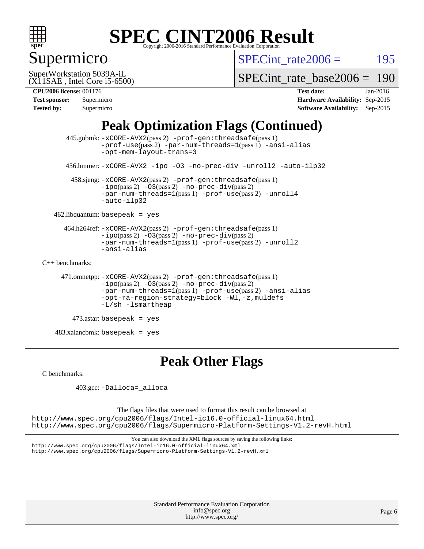

# Supermicro

SPECint rate $2006 = 195$ 

(X11SAE , Intel Core i5-6500) SuperWorkstation 5039A-iL

[SPECint\\_rate\\_base2006 =](http://www.spec.org/auto/cpu2006/Docs/result-fields.html#SPECintratebase2006) 190

#### **[CPU2006 license:](http://www.spec.org/auto/cpu2006/Docs/result-fields.html#CPU2006license)** 001176 **[Test date:](http://www.spec.org/auto/cpu2006/Docs/result-fields.html#Testdate)** Jan-2016

| <b>Test sponsor:</b> | Supermicro |
|----------------------|------------|
| <b>Tested by:</b>    | Supermicro |

**[Hardware Availability:](http://www.spec.org/auto/cpu2006/Docs/result-fields.html#HardwareAvailability)** Sep-2015 **[Software Availability:](http://www.spec.org/auto/cpu2006/Docs/result-fields.html#SoftwareAvailability)** Sep-2015

## **[Peak Optimization Flags \(Continued\)](http://www.spec.org/auto/cpu2006/Docs/result-fields.html#PeakOptimizationFlags)**

```
 445.gobmk: -xCORE-AVX2(pass 2) -prof-gen:threadsafe(pass 1)
                -prof-use(pass 2) -par-num-threads=1(pass 1) -ansi-alias
                -opt-mem-layout-trans=3
       456.hmmer: -xCORE-AVX2 -ipo -O3 -no-prec-div -unroll2 -auto-ilp32
        458.sjeng: -xCORE-AVX2(pass 2) -prof-gen:threadsafe(pass 1)
                -i\text{po}(pass 2) -\overline{O}3(pass 2)-no-prec-div(pass 2)
                -par-num-threads=1-prof-use-unroll4
                -auto-ilp32
    462.libquantum: basepeak = yes
      464.h264ref: -xCORE-AVX2(pass 2) -prof-gen:threadsafe(pass 1)
                -ipo(pass 2) -O3(pass 2) -no-prec-div(pass 2)
               -par-num-threads=1(pass 1) -prof-use(pass 2) -unroll2
                -ansi-alias
C++ benchmarks: 
      471.omnetpp: -xCORE-AVX2(pass 2) -prof-gen:threadsafe(pass 1)
               -no-prec-div(pass 2)-par-num-threads=1(pass 1) -prof-use(pass 2) -ansi-alias
                -opt-ra-region-strategy=block -Wl,-z,muldefs
                -L/sh -lsmartheap
         473.astar: basepeak = yes
    483.xalancbmk: basepeak = yes
```
## **[Peak Other Flags](http://www.spec.org/auto/cpu2006/Docs/result-fields.html#PeakOtherFlags)**

[C benchmarks](http://www.spec.org/auto/cpu2006/Docs/result-fields.html#Cbenchmarks):

403.gcc: [-Dalloca=\\_alloca](http://www.spec.org/cpu2006/results/res2016q1/cpu2006-20160125-38791.flags.html#b403.gcc_peakEXTRA_CFLAGS_Dalloca_be3056838c12de2578596ca5467af7f3)

The flags files that were used to format this result can be browsed at <http://www.spec.org/cpu2006/flags/Intel-ic16.0-official-linux64.html> <http://www.spec.org/cpu2006/flags/Supermicro-Platform-Settings-V1.2-revH.html>

You can also download the XML flags sources by saving the following links: <http://www.spec.org/cpu2006/flags/Intel-ic16.0-official-linux64.xml> <http://www.spec.org/cpu2006/flags/Supermicro-Platform-Settings-V1.2-revH.xml>